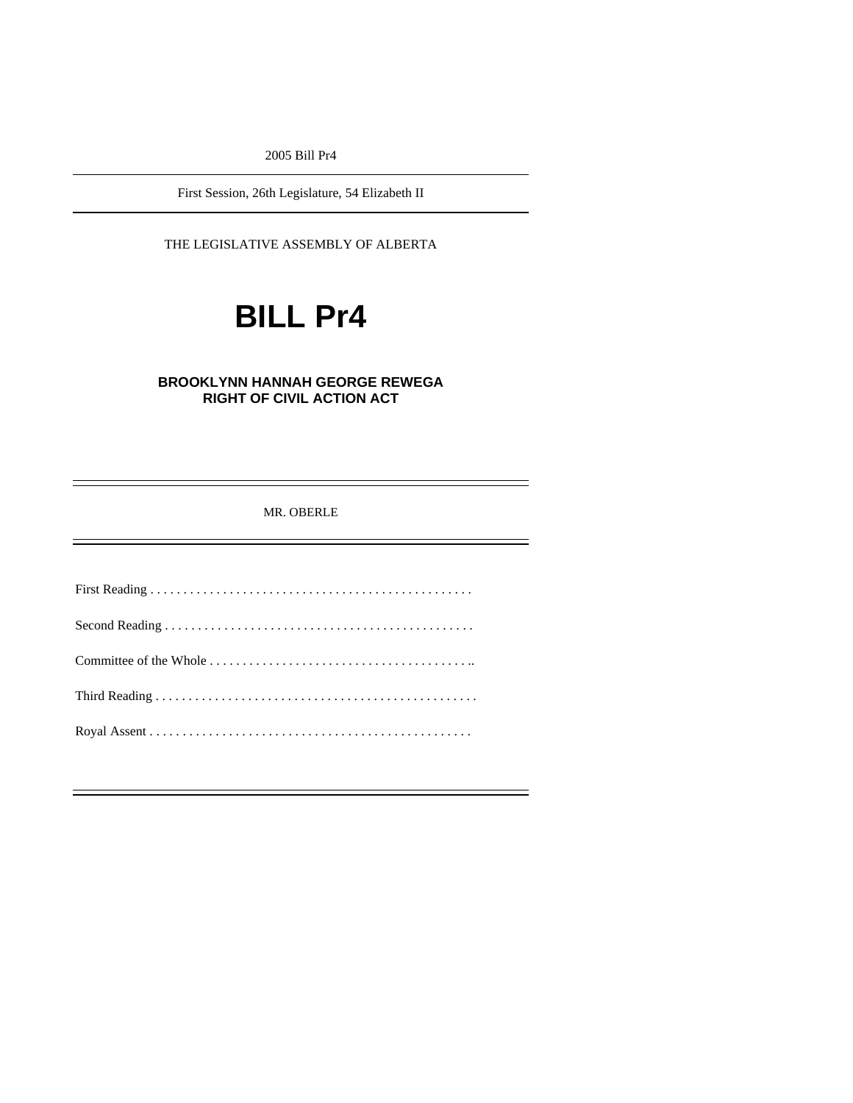2005 Bill Pr4

First Session, 26th Legislature, 54 Elizabeth II

THE LEGISLATIVE ASSEMBLY OF ALBERTA

# **BILL Pr4**

## **BROOKLYNN HANNAH GEORGE REWEGA RIGHT OF CIVIL ACTION ACT**

MR. OBERLE

First Reading . . . . . . . . . . . . . . . . . . . . . . . . . . . . . . . . . . . . . . . . . . . . . . . . . Second Reading . . . . . . . . . . . . . . . . . . . . . . . . . . . . . . . . . . . . . . . . . . . . . . . Committee of the Whole . . . . . . . . . . . . . . . . . . . . . . . . . . . . . . . . . . . . . . . .. Third Reading . . . . . . . . . . . . . . . . . . . . . . . . . . . . . . . . . . . . . . . . . . . . . . . . . Royal Assent . . . . . . . . . . . . . . . . . . . . . . . . . . . . . . . . . . . . . . . . . . . . . . . . .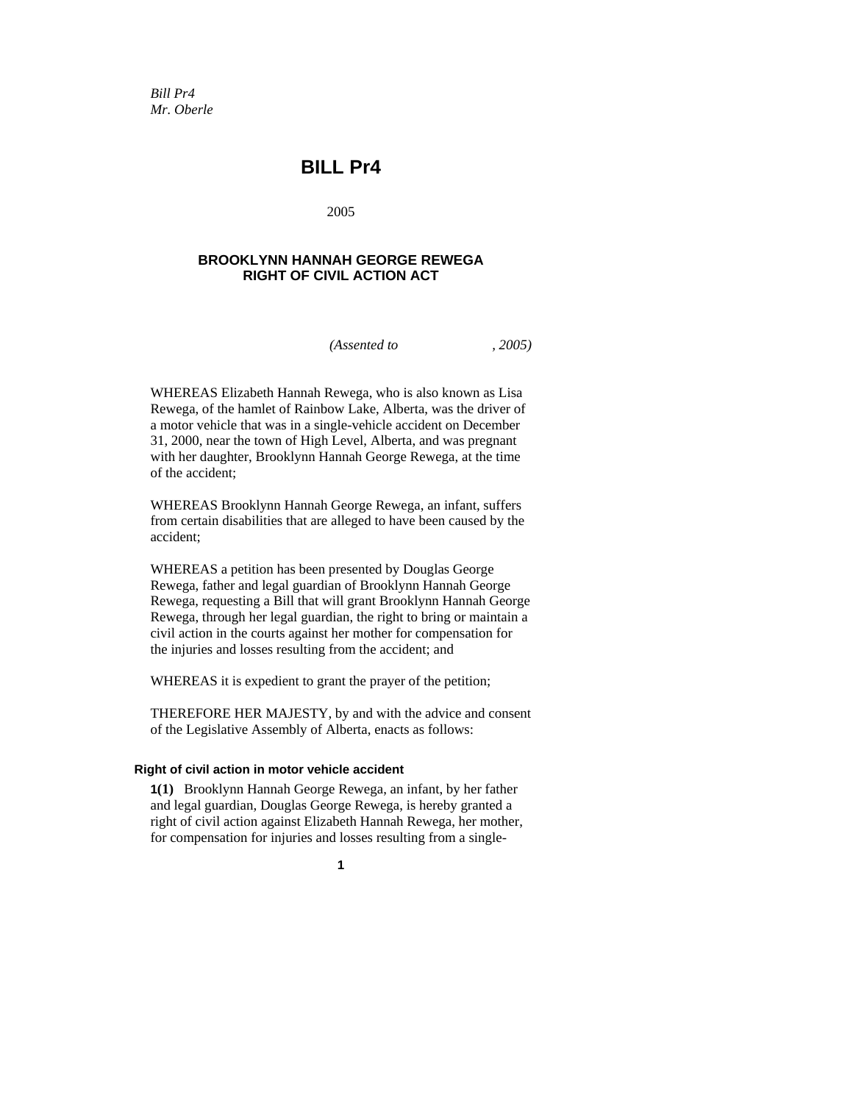*Bill Pr4 Mr. Oberle* 

## **BILL Pr4**

2005

## **BROOKLYNN HANNAH GEORGE REWEGA RIGHT OF CIVIL ACTION ACT**

*(Assented to , 2005)* 

WHEREAS Elizabeth Hannah Rewega, who is also known as Lisa Rewega, of the hamlet of Rainbow Lake, Alberta, was the driver of a motor vehicle that was in a single-vehicle accident on December 31, 2000, near the town of High Level, Alberta, and was pregnant with her daughter, Brooklynn Hannah George Rewega, at the time of the accident;

WHEREAS Brooklynn Hannah George Rewega, an infant, suffers from certain disabilities that are alleged to have been caused by the accident;

WHEREAS a petition has been presented by Douglas George Rewega, father and legal guardian of Brooklynn Hannah George Rewega, requesting a Bill that will grant Brooklynn Hannah George Rewega, through her legal guardian, the right to bring or maintain a civil action in the courts against her mother for compensation for the injuries and losses resulting from the accident; and

WHEREAS it is expedient to grant the prayer of the petition;

THEREFORE HER MAJESTY, by and with the advice and consent of the Legislative Assembly of Alberta, enacts as follows:

#### **Right of civil action in motor vehicle accident**

**1(1)** Brooklynn Hannah George Rewega, an infant, by her father and legal guardian, Douglas George Rewega, is hereby granted a right of civil action against Elizabeth Hannah Rewega, her mother, for compensation for injuries and losses resulting from a single-

**1**